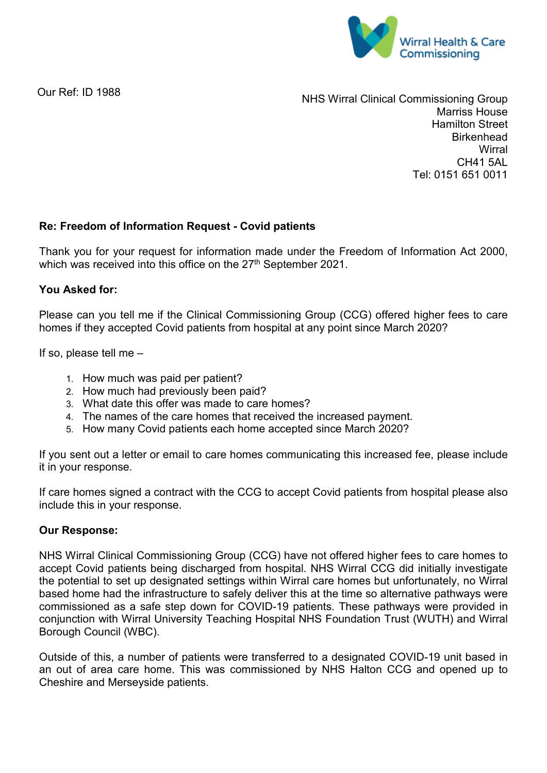

Our Ref: ID 1988

NHS Wirral Clinical Commissioning Group Marriss House Hamilton Street **Birkenhead Wirral** CH41 5AL Tel: 0151 651 0011

## **Re: Freedom of Information Request - Covid patients**

Thank you for your request for information made under the Freedom of Information Act 2000, which was received into this office on the 27<sup>th</sup> September 2021.

## **You Asked for:**

Please can you tell me if the Clinical Commissioning Group (CCG) offered higher fees to care homes if they accepted Covid patients from hospital at any point since March 2020?

If so, please tell me –

- 1. How much was paid per patient?
- 2. How much had previously been paid?
- 3. What date this offer was made to care homes?
- 4. The names of the care homes that received the increased payment.
- 5. How many Covid patients each home accepted since March 2020?

If you sent out a letter or email to care homes communicating this increased fee, please include it in your response.

If care homes signed a contract with the CCG to accept Covid patients from hospital please also include this in your response.

## **Our Response:**

NHS Wirral Clinical Commissioning Group (CCG) have not offered higher fees to care homes to accept Covid patients being discharged from hospital. NHS Wirral CCG did initially investigate the potential to set up designated settings within Wirral care homes but unfortunately, no Wirral based home had the infrastructure to safely deliver this at the time so alternative pathways were commissioned as a safe step down for COVID-19 patients. These pathways were provided in conjunction with Wirral University Teaching Hospital NHS Foundation Trust (WUTH) and Wirral Borough Council (WBC).

Outside of this, a number of patients were transferred to a designated COVID-19 unit based in an out of area care home. This was commissioned by NHS Halton CCG and opened up to Cheshire and Merseyside patients.